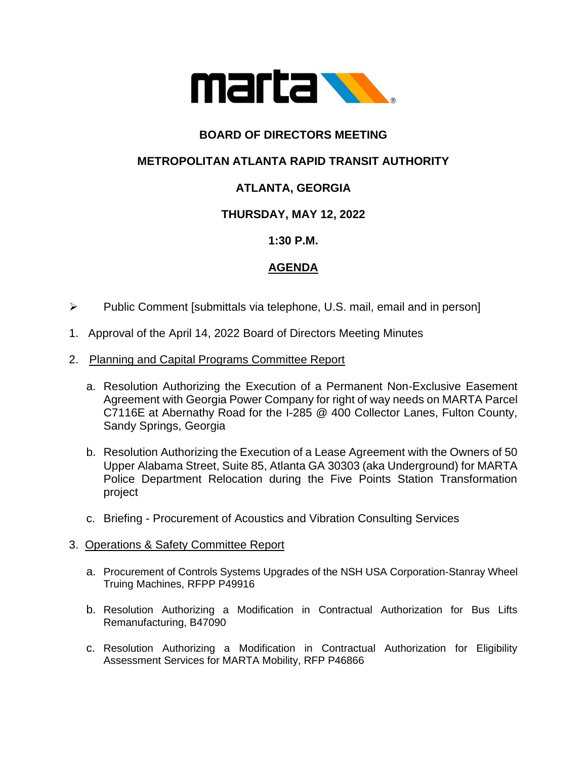

# **BOARD OF DIRECTORS MEETING**

## **METROPOLITAN ATLANTA RAPID TRANSIT AUTHORITY**

# **ATLANTA, GEORGIA**

## **THURSDAY, MAY 12, 2022**

### **1:30 P.M.**

### **AGENDA**

- ➢ Public Comment [submittals via telephone, U.S. mail, email and in person]
- 1. Approval of the April 14, 2022 Board of Directors Meeting Minutes

#### 2. Planning and Capital Programs Committee Report

- a. Resolution Authorizing the Execution of a Permanent Non-Exclusive Easement Agreement with Georgia Power Company for right of way needs on MARTA Parcel C7116E at Abernathy Road for the I-285 @ 400 Collector Lanes, Fulton County, Sandy Springs, Georgia
- b. Resolution Authorizing the Execution of a Lease Agreement with the Owners of 50 Upper Alabama Street, Suite 85, Atlanta GA 30303 (aka Underground) for MARTA Police Department Relocation during the Five Points Station Transformation project
- c. Briefing Procurement of Acoustics and Vibration Consulting Services

#### 3. Operations & Safety Committee Report

- a. Procurement of Controls Systems Upgrades of the NSH USA Corporation-Stanray Wheel Truing Machines, RFPP P49916
- b. Resolution Authorizing a Modification in Contractual Authorization for Bus Lifts Remanufacturing, B47090
- c. Resolution Authorizing a Modification in Contractual Authorization for Eligibility Assessment Services for MARTA Mobility, RFP P46866